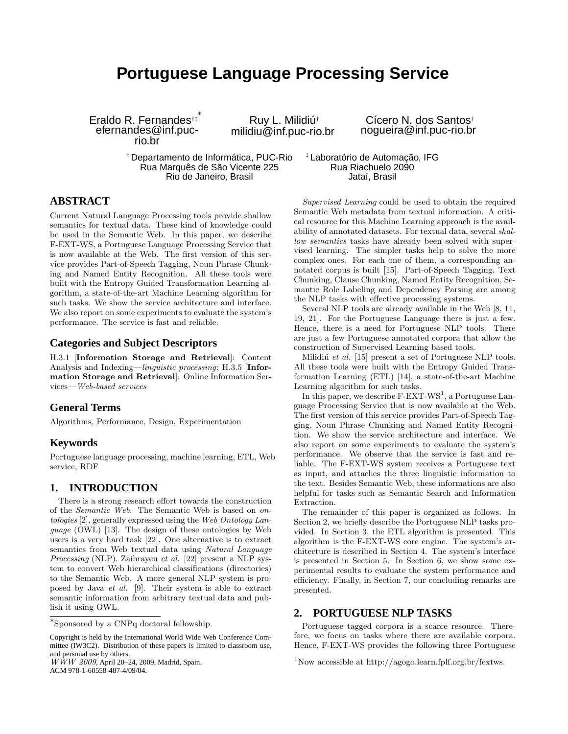# **Portuguese Language Processing Service**

Eraldo R. Fernandes†‡ ∗ efernandes@inf.pucrio.br

Ruy L. Milidiú† milidiu@inf.puc-rio.br

† Departamento de Informática, PUC-Rio Rua Marquês de São Vicente 225 Rio de Janeiro, Brasil

Cícero N. dos Santos† nogueira@inf.puc-rio.br

‡ Laboratório de Automação, IFG Rua Riachuelo 2090 Jataí, Brasil

# **ABSTRACT**

Current Natural Language Processing tools provide shallow semantics for textual data. These kind of knowledge could be used in the Semantic Web. In this paper, we describe F-EXT-WS, a Portuguese Language Processing Service that is now available at the Web. The first version of this service provides Part-of-Speech Tagging, Noun Phrase Chunking and Named Entity Recognition. All these tools were built with the Entropy Guided Transformation Learning algorithm, a state-of-the-art Machine Learning algorithm for such tasks. We show the service architecture and interface. We also report on some experiments to evaluate the system's performance. The service is fast and reliable.

### **Categories and Subject Descriptors**

H.3.1 [Information Storage and Retrieval]: Content Analysis and Indexing—linguistic processing; H.3.5 [Information Storage and Retrieval]: Online Information Services—Web-based services

# **General Terms**

Algorithms, Performance, Design, Experimentation

#### **Keywords**

Portuguese language processing, machine learning, ETL, Web service, RDF

# **1. INTRODUCTION**

There is a strong research effort towards the construction of the Semantic Web. The Semantic Web is based on ontologies [2], generally expressed using the Web Ontology Language (OWL) [13]. The design of these ontologies by Web users is a very hard task [22]. One alternative is to extract semantics from Web textual data using Natural Language Processing (NLP). Zaihrayeu et al. [22] present a NLP system to convert Web hierarchical classifications (directories) to the Semantic Web. A more general NLP system is proposed by Java et al. [9]. Their system is able to extract semantic information from arbitrary textual data and publish it using OWL.

 $W\dot{W}W$  2009, April 20–24, 2009, Madrid, Spain. ACM 978-1-60558-487-4/09/04.

Supervised Learning could be used to obtain the required Semantic Web metadata from textual information. A critical resource for this Machine Learning approach is the availability of annotated datasets. For textual data, several shallow semantics tasks have already been solved with supervised learning. The simpler tasks help to solve the more complex ones. For each one of them, a corresponding annotated corpus is built [15]. Part-of-Speech Tagging, Text Chunking, Clause Chunking, Named Entity Recognition, Semantic Role Labeling and Dependency Parsing are among the NLP tasks with effective processing systems.

Several NLP tools are already available in the Web [8, 11, 19, 21]. For the Portuguese Language there is just a few. Hence, there is a need for Portuguese NLP tools. There are just a few Portuguese annotated corpora that allow the construction of Supervised Learning based tools.

Milidiú et al.  $[15]$  present a set of Portuguese NLP tools. All these tools were built with the Entropy Guided Transformation Learning (ETL) [14], a state-of-the-art Machine Learning algorithm for such tasks.

In this paper, we describe  $F-EXT-WS^1$ , a Portuguese Language Processing Service that is now available at the Web. The first version of this service provides Part-of-Speech Tagging, Noun Phrase Chunking and Named Entity Recognition. We show the service architecture and interface. We also report on some experiments to evaluate the system's performance. We observe that the service is fast and reliable. The F-EXT-WS system receives a Portuguese text as input, and attaches the three linguistic information to the text. Besides Semantic Web, these informations are also helpful for tasks such as Semantic Search and Information Extraction.

The remainder of this paper is organized as follows. In Section 2, we briefly describe the Portuguese NLP tasks provided. In Section 3, the ETL algorithm is presented. This algorithm is the F-EXT-WS core engine. The system's architecture is described in Section 4. The system's interface is presented in Section 5. In Section 6, we show some experimental results to evaluate the system performance and efficiency. Finally, in Section 7, our concluding remarks are presented.

#### **2. PORTUGUESE NLP TASKS**

Portuguese tagged corpora is a scarce resource. Therefore, we focus on tasks where there are available corpora. Hence, F-EXT-WS provides the following three Portuguese

<sup>∗</sup> Sponsored by a CNPq doctoral fellowship.

Copyright is held by the International World Wide Web Conference Committee (IW3C2). Distribution of these papers is limited to classroom use, and personal use by others.

<sup>1</sup>Now accessible at http://agogo.learn.fplf.org.br/fextws.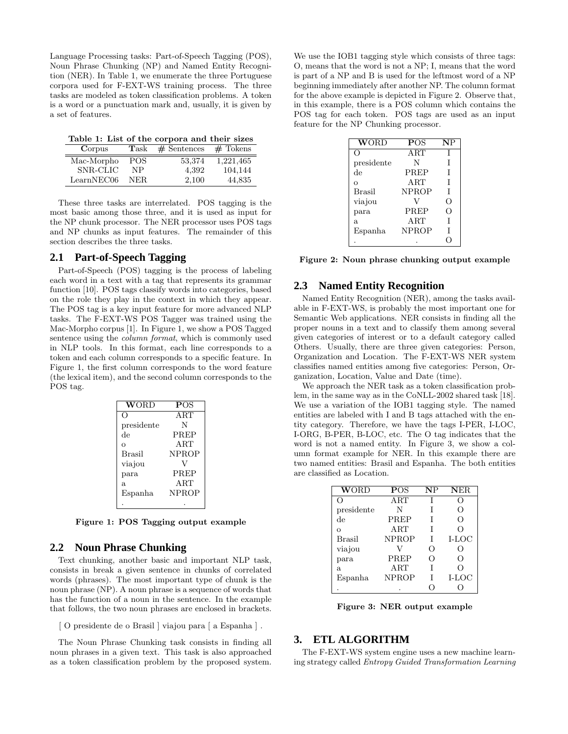Language Processing tasks: Part-of-Speech Tagging (POS), Noun Phrase Chunking (NP) and Named Entity Recognition (NER). In Table 1, we enumerate the three Portuguese corpora used for F-EXT-WS training process. The three tasks are modeled as token classification problems. A token is a word or a punctuation mark and, usually, it is given by a set of features.

Table 1: List of the corpora and their sizes

| Corpus     | $\rm{Task}$ | $#$ Sentences | $#$ Tokens |
|------------|-------------|---------------|------------|
| Mac-Morpho | POS         | 53,374        | 1,221,465  |
| SNR-CLIC   | NP          | 4.392         | 104,144    |
| LearnNEC06 | NER.        | 2.100         | 44.835     |

These three tasks are interrelated. POS tagging is the most basic among those three, and it is used as input for the NP chunk processor. The NER processor uses POS tags and NP chunks as input features. The remainder of this section describes the three tasks.

#### **2.1 Part-of-Speech Tagging**

Part-of-Speech (POS) tagging is the process of labeling each word in a text with a tag that represents its grammar function [10]. POS tags classify words into categories, based on the role they play in the context in which they appear. The POS tag is a key input feature for more advanced NLP tasks. The F-EXT-WS POS Tagger was trained using the Mac-Morpho corpus [1]. In Figure 1, we show a POS Tagged sentence using the column format, which is commonly used in NLP tools. In this format, each line corresponds to a token and each column corresponds to a specific feature. In Figure 1, the first column corresponds to the word feature (the lexical item), and the second column corresponds to the POS tag.

| <b>WORD</b>   | <b>POS</b>   |
|---------------|--------------|
|               | ART          |
| presidente    | N            |
| de            | PREP         |
| $\Omega$      | ART          |
| <b>Brasil</b> | <b>NPROP</b> |
| viajou        |              |
| para          | PREP         |
| a.            | ART          |
| Espanha       | <b>NPROP</b> |
|               |              |

Figure 1: POS Tagging output example

#### **2.2 Noun Phrase Chunking**

Text chunking, another basic and important NLP task, consists in break a given sentence in chunks of correlated words (phrases). The most important type of chunk is the noun phrase (NP). A noun phrase is a sequence of words that has the function of a noun in the sentence. In the example that follows, the two noun phrases are enclosed in brackets.

[ O presidente de o Brasil ] viajou para [ a Espanha ] .

The Noun Phrase Chunking task consists in finding all noun phrases in a given text. This task is also approached as a token classification problem by the proposed system.

We use the IOB1 tagging style which consists of three tags: O, means that the word is not a NP; I, means that the word is part of a NP and B is used for the leftmost word of a NP beginning immediately after another NP. The column format for the above example is depicted in Figure 2. Observe that, in this example, there is a POS column which contains the POS tag for each token. POS tags are used as an input feature for the NP Chunking processor.

| WORD          | <b>POS</b>   | $\bf NP$         |
|---------------|--------------|------------------|
| ( )           | ART          | T                |
| presidente    | N            | T                |
| de            | PREP         | T                |
| O             | ART          | T                |
| <b>Brasil</b> | <b>NPROP</b> | T                |
| viajou        | V            | $\left( \right)$ |
| para          | PREP         | O                |
| a.            | $\rm ART$    | T                |
| Espanha       | <b>NPROP</b> | Т                |
|               |              |                  |

Figure 2: Noun phrase chunking output example

#### **2.3 Named Entity Recognition**

Named Entity Recognition (NER), among the tasks available in F-EXT-WS, is probably the most important one for Semantic Web applications. NER consists in finding all the proper nouns in a text and to classify them among several given categories of interest or to a default category called Others. Usually, there are three given categories: Person, Organization and Location. The F-EXT-WS NER system classifies named entities among five categories: Person, Organization, Location, Value and Date (time).

We approach the NER task as a token classification problem, in the same way as in the CoNLL-2002 shared task [18]. We use a variation of the IOB1 tagging style. The named entities are labeled with I and B tags attached with the entity category. Therefore, we have the tags I-PER, I-LOC, I-ORG, B-PER, B-LOC, etc. The O tag indicates that the word is not a named entity. In Figure 3, we show a column format example for NER. In this example there are two named entities: Brasil and Espanha. The both entities are classified as Location.

| <b>WORD</b>   | POS       | $\mathbf{NP}$ | <b>NER</b>       |
|---------------|-----------|---------------|------------------|
| ( )           | $\rm ART$ |               | ( )              |
| presidente    | N         |               | Ω                |
| de            | PREP      |               | $\left( \right)$ |
| $\Omega$      | $\rm ART$ |               | O                |
| <b>Brasil</b> | NPROP     | T             | $I-LOC$          |
| viajou        |           | 0             | $\left( \right)$ |
| para          | PREP      | 0             | Ω                |
| a.            | $\rm ART$ |               | O                |
| Espanha       | NPROP     |               | I-LOC            |
|               |           |               |                  |

Figure 3: NER output example

#### **3. ETL ALGORITHM**

The F-EXT-WS system engine uses a new machine learning strategy called Entropy Guided Transformation Learning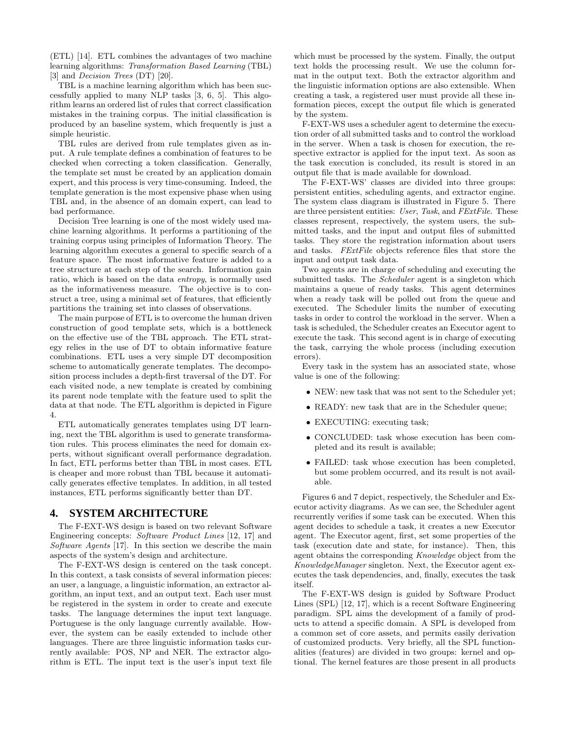(ETL) [14]. ETL combines the advantages of two machine learning algorithms: Transformation Based Learning (TBL) [3] and *Decision Trees* (DT) [20].

TBL is a machine learning algorithm which has been successfully applied to many NLP tasks [3, 6, 5]. This algorithm learns an ordered list of rules that correct classification mistakes in the training corpus. The initial classification is produced by an baseline system, which frequently is just a simple heuristic.

TBL rules are derived from rule templates given as input. A rule template defines a combination of features to be checked when correcting a token classification. Generally, the template set must be created by an application domain expert, and this process is very time-consuming. Indeed, the template generation is the most expensive phase when using TBL and, in the absence of an domain expert, can lead to bad performance.

Decision Tree learning is one of the most widely used machine learning algorithms. It performs a partitioning of the training corpus using principles of Information Theory. The learning algorithm executes a general to specific search of a feature space. The most informative feature is added to a tree structure at each step of the search. Information gain ratio, which is based on the data entropy, is normally used as the informativeness measure. The objective is to construct a tree, using a minimal set of features, that efficiently partitions the training set into classes of observations.

The main purpose of ETL is to overcome the human driven construction of good template sets, which is a bottleneck on the effective use of the TBL approach. The ETL strategy relies in the use of DT to obtain informative feature combinations. ETL uses a very simple DT decomposition scheme to automatically generate templates. The decomposition process includes a depth-first traversal of the DT. For each visited node, a new template is created by combining its parent node template with the feature used to split the data at that node. The ETL algorithm is depicted in Figure 4.

ETL automatically generates templates using DT learning, next the TBL algorithm is used to generate transformation rules. This process eliminates the need for domain experts, without significant overall performance degradation. In fact, ETL performs better than TBL in most cases. ETL is cheaper and more robust than TBL because it automatically generates effective templates. In addition, in all tested instances, ETL performs significantly better than DT.

#### **4. SYSTEM ARCHITECTURE**

The F-EXT-WS design is based on two relevant Software Engineering concepts: Software Product Lines [12, 17] and Software Agents [17]. In this section we describe the main aspects of the system's design and architecture.

The F-EXT-WS design is centered on the task concept. In this context, a task consists of several information pieces: an user, a language, a linguistic information, an extractor algorithm, an input text, and an output text. Each user must be registered in the system in order to create and execute tasks. The language determines the input text language. Portuguese is the only language currently available. However, the system can be easily extended to include other languages. There are three linguistic information tasks currently available: POS, NP and NER. The extractor algorithm is ETL. The input text is the user's input text file which must be processed by the system. Finally, the output text holds the processing result. We use the column format in the output text. Both the extractor algorithm and the linguistic information options are also extensible. When creating a task, a registered user must provide all these information pieces, except the output file which is generated by the system.

F-EXT-WS uses a scheduler agent to determine the execution order of all submitted tasks and to control the workload in the server. When a task is chosen for execution, the respective extractor is applied for the input text. As soon as the task execution is concluded, its result is stored in an output file that is made available for download.

The F-EXT-WS' classes are divided into three groups: persistent entities, scheduling agents, and extractor engine. The system class diagram is illustrated in Figure 5. There are three persistent entities: User, Task, and FExtFile. These classes represent, respectively, the system users, the submitted tasks, and the input and output files of submitted tasks. They store the registration information about users and tasks. FExtFile objects reference files that store the input and output task data.

Two agents are in charge of scheduling and executing the submitted tasks. The Scheduler agent is a singleton which maintains a queue of ready tasks. This agent determines when a ready task will be polled out from the queue and executed. The Scheduler limits the number of executing tasks in order to control the workload in the server. When a task is scheduled, the Scheduler creates an Executor agent to execute the task. This second agent is in charge of executing the task, carrying the whole process (including execution errors).

Every task in the system has an associated state, whose value is one of the following:

- NEW: new task that was not sent to the Scheduler yet;
- READY: new task that are in the Scheduler queue;
- EXECUTING: executing task;
- CONCLUDED: task whose execution has been completed and its result is available;
- FAILED: task whose execution has been completed, but some problem occurred, and its result is not available.

Figures 6 and 7 depict, respectively, the Scheduler and Executor activity diagrams. As we can see, the Scheduler agent recurrently verifies if some task can be executed. When this agent decides to schedule a task, it creates a new Executor agent. The Executor agent, first, set some properties of the task (execution date and state, for instance). Then, this agent obtains the corresponding Knowledge object from the KnowledgeManager singleton. Next, the Executor agent executes the task dependencies, and, finally, executes the task itself.

The F-EXT-WS design is guided by Software Product Lines (SPL) [12, 17], which is a recent Software Engineering paradigm. SPL aims the development of a family of products to attend a specific domain. A SPL is developed from a common set of core assets, and permits easily derivation of customized products. Very briefly, all the SPL functionalities (features) are divided in two groups: kernel and optional. The kernel features are those present in all products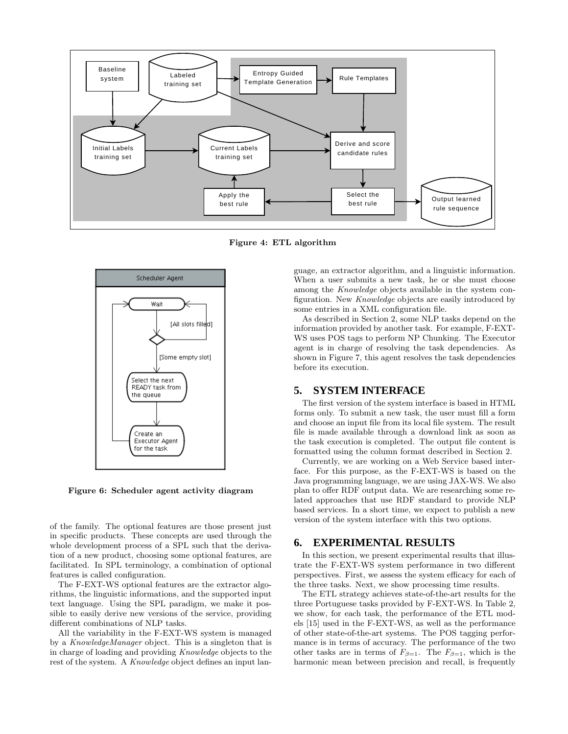

Figure 4: ETL algorithm



Figure 6: Scheduler agent activity diagram

of the family. The optional features are those present just in specific products. These concepts are used through the whole development process of a SPL such that the derivation of a new product, choosing some optional features, are facilitated. In SPL terminology, a combination of optional features is called configuration.

The F-EXT-WS optional features are the extractor algorithms, the linguistic informations, and the supported input text language. Using the SPL paradigm, we make it possible to easily derive new versions of the service, providing different combinations of NLP tasks.

All the variability in the F-EXT-WS system is managed by a KnowledgeManager object. This is a singleton that is in charge of loading and providing Knowledge objects to the rest of the system. A Knowledge object defines an input language, an extractor algorithm, and a linguistic information. When a user submits a new task, he or she must choose among the Knowledge objects available in the system configuration. New Knowledge objects are easily introduced by some entries in a XML configuration file.

As described in Section 2, some NLP tasks depend on the information provided by another task. For example, F-EXT-WS uses POS tags to perform NP Chunking. The Executor agent is in charge of resolving the task dependencies. As shown in Figure 7, this agent resolves the task dependencies before its execution.

#### **5. SYSTEM INTERFACE**

The first version of the system interface is based in HTML forms only. To submit a new task, the user must fill a form and choose an input file from its local file system. The result file is made available through a download link as soon as the task execution is completed. The output file content is formatted using the column format described in Section 2.

Currently, we are working on a Web Service based interface. For this purpose, as the F-EXT-WS is based on the Java programming language, we are using JAX-WS. We also plan to offer RDF output data. We are researching some related approaches that use RDF standard to provide NLP based services. In a short time, we expect to publish a new version of the system interface with this two options.

# **6. EXPERIMENTAL RESULTS**

In this section, we present experimental results that illustrate the F-EXT-WS system performance in two different perspectives. First, we assess the system efficacy for each of the three tasks. Next, we show processing time results.

The ETL strategy achieves state-of-the-art results for the three Portuguese tasks provided by F-EXT-WS. In Table 2, we show, for each task, the performance of the ETL models [15] used in the F-EXT-WS, as well as the performance of other state-of-the-art systems. The POS tagging performance is in terms of accuracy. The performance of the two other tasks are in terms of  $F_{\beta=1}$ . The  $F_{\beta=1}$ , which is the harmonic mean between precision and recall, is frequently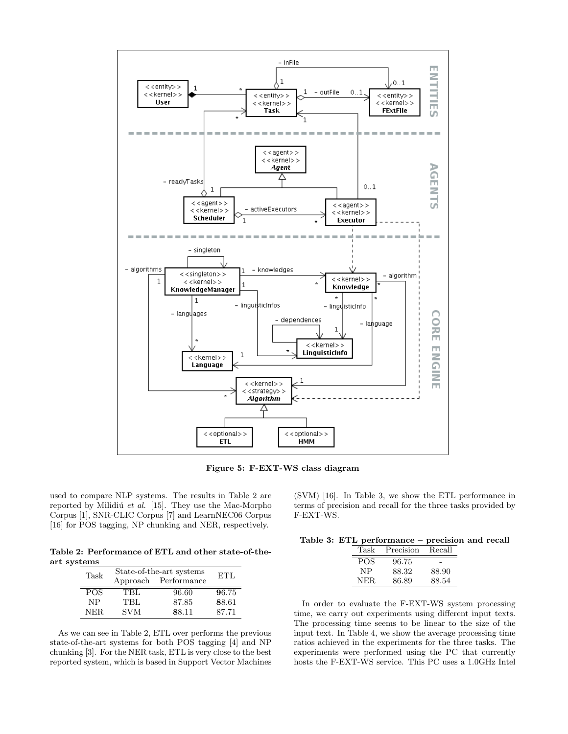

Figure 5: F-EXT-WS class diagram

used to compare NLP systems. The results in Table 2 are reported by Milidiú et al. [15]. They use the Mac-Morpho Corpus [1], SNR-CLIC Corpus [7] and LearnNEC06 Corpus [16] for POS tagging, NP chunking and NER, respectively.

Table 2: Performance of ETL and other state-of-theart systems

| Task       | State-of-the-art systems |                      | ETL   |
|------------|--------------------------|----------------------|-------|
|            |                          | Approach Performance |       |
| <b>POS</b> | TBL                      | 96.60                | 96.75 |
| NP         | TBL                      | 87.85                | 88.61 |
| NER.       | <b>SVM</b>               | 88.11                | 87.71 |

As we can see in Table 2, ETL over performs the previous state-of-the-art systems for both POS tagging [4] and NP chunking [3]. For the NER task, ETL is very close to the best reported system, which is based in Support Vector Machines (SVM) [16]. In Table 3, we show the ETL performance in terms of precision and recall for the three tasks provided by F-EXT-WS.

| Table 3: ETL performance – precision and recall |  |  |  |  |  |
|-------------------------------------------------|--|--|--|--|--|
|-------------------------------------------------|--|--|--|--|--|

| Task       | Precision | Recall |
|------------|-----------|--------|
| <b>POS</b> | 96.75     |        |
| NP         | 88.32     | 88.90  |
| NER        | 86.89     | 88.54  |
|            |           |        |

In order to evaluate the F-EXT-WS system processing time, we carry out experiments using different input texts. The processing time seems to be linear to the size of the input text. In Table 4, we show the average processing time ratios achieved in the experiments for the three tasks. The experiments were performed using the PC that currently hosts the F-EXT-WS service. This PC uses a 1.0GHz Intel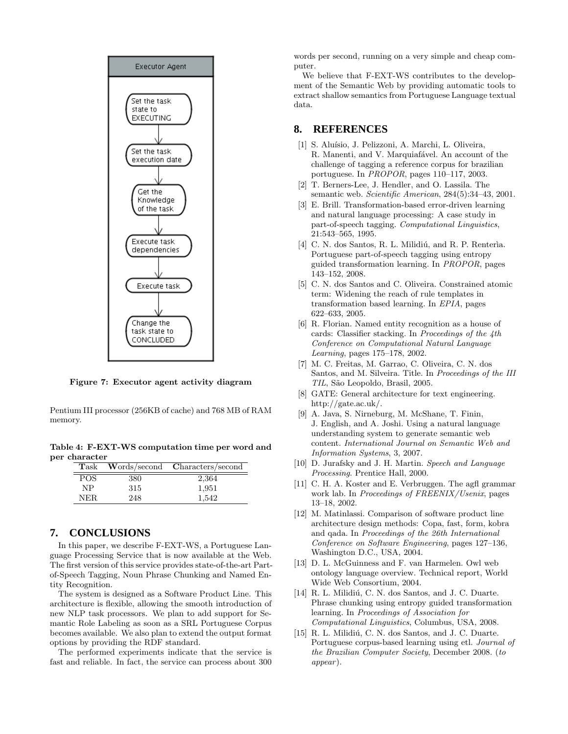

Figure 7: Executor agent activity diagram

Pentium III processor (256KB of cache) and 768 MB of RAM memory.

Table 4: F-EXT-WS computation time per word and per character

| $\rm{Task}$ |     | Words/second Characters/second |
|-------------|-----|--------------------------------|
| POS.        | 380 | 2,364                          |
| NP          | 315 | 1,951                          |
| NER.        | 248 | 1.542                          |

# **7. CONCLUSIONS**

In this paper, we describe F-EXT-WS, a Portuguese Language Processing Service that is now available at the Web. The first version of this service provides state-of-the-art Partof-Speech Tagging, Noun Phrase Chunking and Named Entity Recognition.

The system is designed as a Software Product Line. This architecture is flexible, allowing the smooth introduction of new NLP task processors. We plan to add support for Semantic Role Labeling as soon as a SRL Portuguese Corpus becomes available. We also plan to extend the output format options by providing the RDF standard.

The performed experiments indicate that the service is fast and reliable. In fact, the service can process about 300 words per second, running on a very simple and cheap computer.

We believe that F-EXT-WS contributes to the development of the Semantic Web by providing automatic tools to extract shallow semantics from Portuguese Language textual data.

## **8. REFERENCES**

- [1] S. Aluísio, J. Pelizzoni, A. Marchi, L. Oliveira, R. Manenti, and V. Marquiafável. An account of the challenge of tagging a reference corpus for brazilian portuguese. In PROPOR, pages 110–117, 2003.
- [2] T. Berners-Lee, J. Hendler, and O. Lassila. The semantic web. Scientific American, 284(5):34–43, 2001.
- [3] E. Brill. Transformation-based error-driven learning and natural language processing: A case study in part-of-speech tagging. Computational Linguistics, 21:543–565, 1995.
- [4] C. N. dos Santos, R. L. Milidiú, and R. P. Renteria. Portuguese part-of-speech tagging using entropy guided transformation learning. In PROPOR, pages 143–152, 2008.
- [5] C. N. dos Santos and C. Oliveira. Constrained atomic term: Widening the reach of rule templates in transformation based learning. In EPIA, pages 622–633, 2005.
- [6] R. Florian. Named entity recognition as a house of cards: Classifier stacking. In Proceedings of the 4th Conference on Computational Natural Language Learning, pages 175–178, 2002.
- [7] M. C. Freitas, M. Garrao, C. Oliveira, C. N. dos Santos, and M. Silveira. Title. In Proceedings of the III TIL, São Leopoldo, Brasil, 2005.
- [8] GATE: General architecture for text engineering. http://gate.ac.uk/.
- [9] A. Java, S. Nirneburg, M. McShane, T. Finin, J. English, and A. Joshi. Using a natural language understanding system to generate semantic web content. International Journal on Semantic Web and Information Systems, 3, 2007.
- [10] D. Jurafsky and J. H. Martin. Speech and Language Processing. Prentice Hall, 2000.
- [11] C. H. A. Koster and E. Verbruggen. The agfl grammar work lab. In Proceedings of FREENIX/Usenix, pages 13–18, 2002.
- [12] M. Matinlassi. Comparison of software product line architecture design methods: Copa, fast, form, kobra and qada. In Proceedings of the 26th International Conference on Software Engineering, pages 127–136, Washington D.C., USA, 2004.
- [13] D. L. McGuinness and F. van Harmelen. Owl web ontology language overview. Technical report, World Wide Web Consortium, 2004.
- [14] R. L. Milidiú, C. N. dos Santos, and J. C. Duarte. Phrase chunking using entropy guided transformation learning. In Proceedings of Association for Computational Linguistics, Columbus, USA, 2008.
- [15] R. L. Milidiú, C. N. dos Santos, and J. C. Duarte. Portuguese corpus-based learning using etl. Journal of the Brazilian Computer Society, December 2008. (to appear).